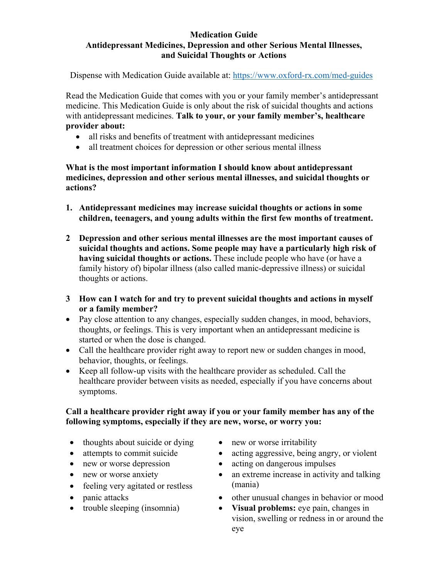## **Medication Guide Antidepressant Medicines, Depression and other Serious Mental Illnesses, and Suicidal Thoughts or Actions**

Dispense with Medication Guide available at: https://www.oxford-rx.com/med-guides

Read the Medication Guide that comes with you or your family member's antidepressant medicine. This Medication Guide is only about the risk of suicidal thoughts and actions with antidepressant medicines. **Talk to your, or your family member's, healthcare provider about:** 

- all risks and benefits of treatment with antidepressant medicines
- all treatment choices for depression or other serious mental illness

**What is the most important information I should know about antidepressant medicines, depression and other serious mental illnesses, and suicidal thoughts or actions?** 

- **1. Antidepressant medicines may increase suicidal thoughts or actions in some children, teenagers, and young adults within the first few months of treatment.**
- **2 Depression and other serious mental illnesses are the most important causes of suicidal thoughts and actions. Some people may have a particularly high risk of having suicidal thoughts or actions.** These include people who have (or have a family history of) bipolar illness (also called manic-depressive illness) or suicidal thoughts or actions.
- **3 How can I watch for and try to prevent suicidal thoughts and actions in myself or a family member?**
- Pay close attention to any changes, especially sudden changes, in mood, behaviors, thoughts, or feelings. This is very important when an antidepressant medicine is started or when the dose is changed.
- Call the healthcare provider right away to report new or sudden changes in mood, behavior, thoughts, or feelings.
- Keep all follow-up visits with the healthcare provider as scheduled. Call the healthcare provider between visits as needed, especially if you have concerns about symptoms.

## **Call a healthcare provider right away if you or your family member has any of the following symptoms, especially if they are new, worse, or worry you:**

- thoughts about suicide or dying new or worse irritability
- 
- 
- 
- feeling very agitated or restless (mania)
- 
- 
- 
- attempts to commit suicide acting aggressive, being angry, or violent
- new or worse depression acting on dangerous impulses
- new or worse anxiety an extreme increase in activity and talking
- panic attacks other unusual changes in behavior or mood
- trouble sleeping (insomnia) **Visual problems:** eye pain, changes in vision, swelling or redness in or around the eye